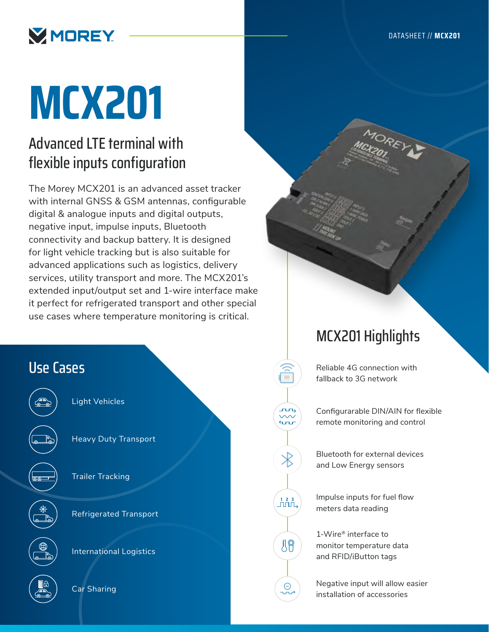

# **MCX201**

# Advanced LTE terminal with flexible inputs configuration

The Morey MCX201 is an advanced asset tracker with internal GNSS & GSM antennas, configurable digital & analogue inputs and digital outputs, negative input, impulse inputs, Bluetooth connectivity and backup battery. It is designed for light vehicle tracking but is also suitable for advanced applications such as logistics, delivery services, utility transport and more. The MCX201's extended input/output set and 1-wire interface make it perfect for refrigerated transport and other special use cases where temperature monitoring is critical.



# MCX201 Highlights

Reliable 4G connection with fallback to 3G network

Configurarable DIN/AIN for flexible remote monitoring and control

Bluetooth for external devices and Low Energy sensors

Impulse inputs for fuel flow meters data reading

**1 2 3**

19

 $\bigcirc$ 

 $\sim$  $4\pi$ 

> 1-Wire® interface to monitor temperature data and RFID/iButton tags

Negative input will allow easier installation of accessories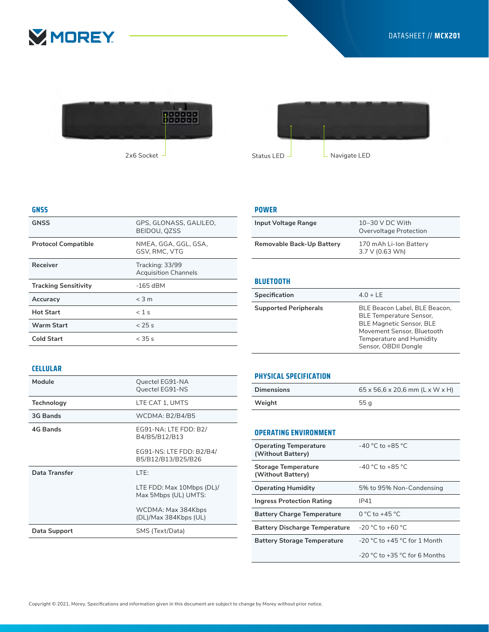





## **GNSS**

| <b>GNSS</b>                 | GPS. GLONASS. GALILEO.<br>BEIDOU, QZSS         |
|-----------------------------|------------------------------------------------|
| <b>Protocol Compatible</b>  | NMEA, GGA, GGL, GSA,<br>GSV. RMC. VTG          |
| Receiver                    | Tracking: 33/99<br><b>Acquisition Channels</b> |
| <b>Tracking Sensitivity</b> | $-165$ dBM                                     |
| Accuracy                    | $<$ 3 m                                        |
| <b>Hot Start</b>            | $< 1$ s                                        |
| <b>Warm Start</b>           | < 25s                                          |
| <b>Cold Start</b>           | $<$ 35 s                                       |
|                             |                                                |

#### **POWER**

| Input Voltage Range       | $10-30$ V DC With<br>Overvoltage Protection        |
|---------------------------|----------------------------------------------------|
| Removable Back-Up Battery | 170 mAh Li-Ion Battery<br>$3.7 \vee (0.63 \vee h)$ |

# **BLUETOOTH**

| Specification                | $4.0 + LE$                                                                                                                                                                           |
|------------------------------|--------------------------------------------------------------------------------------------------------------------------------------------------------------------------------------|
| <b>Supported Peripherals</b> | BLE Beacon Label, BLE Beacon,<br><b>BLE Temperature Sensor,</b><br><b>BLE Magnetic Sensor, BLE</b><br>Movement Sensor, Bluetooth<br>Temperature and Humidity<br>Sensor, OBDII Dongle |

## **CELLULAR**

| Module        | Quectel EG91-NA<br>Quectel EG91-NS                |
|---------------|---------------------------------------------------|
| Technology    | LTE CAT 1. UMTS                                   |
| 3G Bands      | WCDMA: B2/B4/B5                                   |
| 4G Bands      | EG91-NA: LTE FDD: B2/<br>B4/B5/B12/B13            |
|               | EG91-NS: LTE FDD: B2/B4/<br>B5/B12/B13/B25/B26    |
| Data Transfer | LTE:                                              |
|               | LTE FDD: Max 10Mbps (DL)/<br>Max 5Mbps (UL) UMTS: |
|               | WCDMA: Max 384Kbps<br>(DL)/Max 384Kbps (UL)       |
| Data Support  | SMS (Text/Data)                                   |
|               |                                                   |

## **PHYSICAL SPECIFICATION**

| <b>Dimensions</b> | $65 \times 56, 6 \times 20, 6$ mm (L x W x H) |
|-------------------|-----------------------------------------------|
| Weight            | 55 g                                          |

## **OPERATING ENVIRONMENT**

| <b>Operating Temperature</b><br>(Without Battery) | $-40$ °C to $+85$ °C.             |
|---------------------------------------------------|-----------------------------------|
| <b>Storage Temperature</b><br>(Without Battery)   | $-40$ °C to $+85$ °C.             |
| <b>Operating Humidity</b>                         | 5% to 95% Non-Condensing          |
| <b>Ingress Protection Rating</b>                  | IP41                              |
| <b>Battery Charge Temperature</b>                 | 0 °C to +45 °C                    |
| <b>Battery Discharge Temperature</b>              | $-20$ °C to $+60$ °C              |
| <b>Battery Storage Temperature</b>                | $-20$ °C to $+45$ °C for 1 Month  |
|                                                   | $-20$ °C to $+35$ °C for 6 Months |